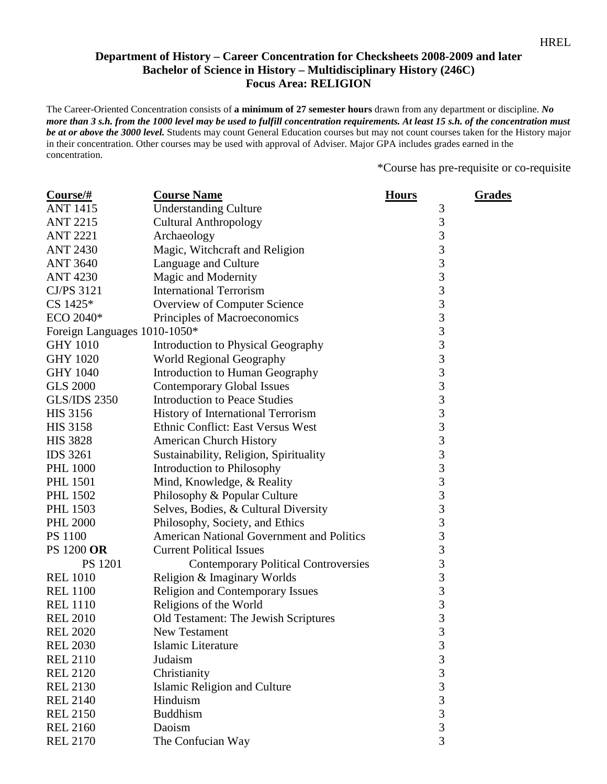## **Department of History – Career Concentration for Checksheets 2008-2009 and later Bachelor of Science in History – Multidisciplinary History (246C) Focus Area: RELIGION**

The Career-Oriented Concentration consists of **a minimum of 27 semester hours** drawn from any department or discipline. *No more than 3 s.h. from the 1000 level may be used to fulfill concentration requirements. At least 15 s.h. of the concentration must be at or above the 3000 level.* Students may count General Education courses but may not count courses taken for the History major in their concentration. Other courses may be used with approval of Adviser. Major GPA includes grades earned in the concentration.

\*Course has pre-requisite or co-requisite

| $Course/\#$                  | <b>Course Name</b>                               | <b>Hours</b>   | <u>Grades</u> |
|------------------------------|--------------------------------------------------|----------------|---------------|
| <b>ANT 1415</b>              | <b>Understanding Culture</b>                     | $\mathfrak{Z}$ |               |
| <b>ANT 2215</b>              | <b>Cultural Anthropology</b>                     | 3              |               |
| <b>ANT 2221</b>              | Archaeology                                      | $\overline{3}$ |               |
| <b>ANT 2430</b>              | Magic, Witchcraft and Religion                   | 3              |               |
| <b>ANT 3640</b>              | Language and Culture                             | 3              |               |
| <b>ANT 4230</b>              | Magic and Modernity                              | $\overline{3}$ |               |
| CJ/PS 3121                   | <b>International Terrorism</b>                   | 3              |               |
| CS 1425*                     | Overview of Computer Science                     | 3              |               |
| ECO 2040*                    | Principles of Macroeconomics                     | 3              |               |
| Foreign Languages 1010-1050* |                                                  | 3              |               |
| <b>GHY 1010</b>              | Introduction to Physical Geography               | 3              |               |
| <b>GHY 1020</b>              | World Regional Geography                         | $\overline{3}$ |               |
| <b>GHY 1040</b>              | Introduction to Human Geography                  | $\overline{3}$ |               |
| <b>GLS 2000</b>              | <b>Contemporary Global Issues</b>                | 3              |               |
| <b>GLS/IDS 2350</b>          | <b>Introduction to Peace Studies</b>             | 3              |               |
| <b>HIS 3156</b>              | History of International Terrorism               | $\overline{3}$ |               |
| <b>HIS 3158</b>              | Ethnic Conflict: East Versus West                | 3              |               |
| <b>HIS 3828</b>              | <b>American Church History</b>                   | 3              |               |
| <b>IDS 3261</b>              | Sustainability, Religion, Spirituality           | $\overline{3}$ |               |
| <b>PHL 1000</b>              | Introduction to Philosophy                       | $rac{3}{3}$    |               |
| <b>PHL 1501</b>              | Mind, Knowledge, & Reality                       |                |               |
| PHL 1502                     | Philosophy & Popular Culture                     | 3              |               |
| <b>PHL 1503</b>              | Selves, Bodies, & Cultural Diversity             | $\overline{3}$ |               |
| <b>PHL 2000</b>              | Philosophy, Society, and Ethics                  | 3              |               |
| <b>PS 1100</b>               | <b>American National Government and Politics</b> | 3              |               |
| PS 1200 OR                   | <b>Current Political Issues</b>                  | 3              |               |
| PS 1201                      | <b>Contemporary Political Controversies</b>      | 3              |               |
| <b>REL 1010</b>              | Religion & Imaginary Worlds                      | $\overline{3}$ |               |
| <b>REL 1100</b>              | Religion and Contemporary Issues                 | 3              |               |
| <b>REL 1110</b>              | Religions of the World                           | $rac{3}{3}$    |               |
| <b>REL 2010</b>              | Old Testament: The Jewish Scriptures             |                |               |
| <b>REL 2020</b>              | New Testament                                    | 3              |               |
| <b>REL 2030</b>              | Islamic Literature                               | 3              |               |
| <b>REL 2110</b>              | Judaism                                          | 3              |               |
| <b>REL 2120</b>              | Christianity                                     | $\overline{3}$ |               |
| <b>REL 2130</b>              | Islamic Religion and Culture                     | $\overline{3}$ |               |
| <b>REL 2140</b>              | Hinduism                                         | $\overline{3}$ |               |
| <b>REL 2150</b>              | <b>Buddhism</b>                                  | $\overline{3}$ |               |
| <b>REL 2160</b>              | Daoism                                           | 3              |               |
| <b>REL 2170</b>              | The Confucian Way                                | $\overline{3}$ |               |